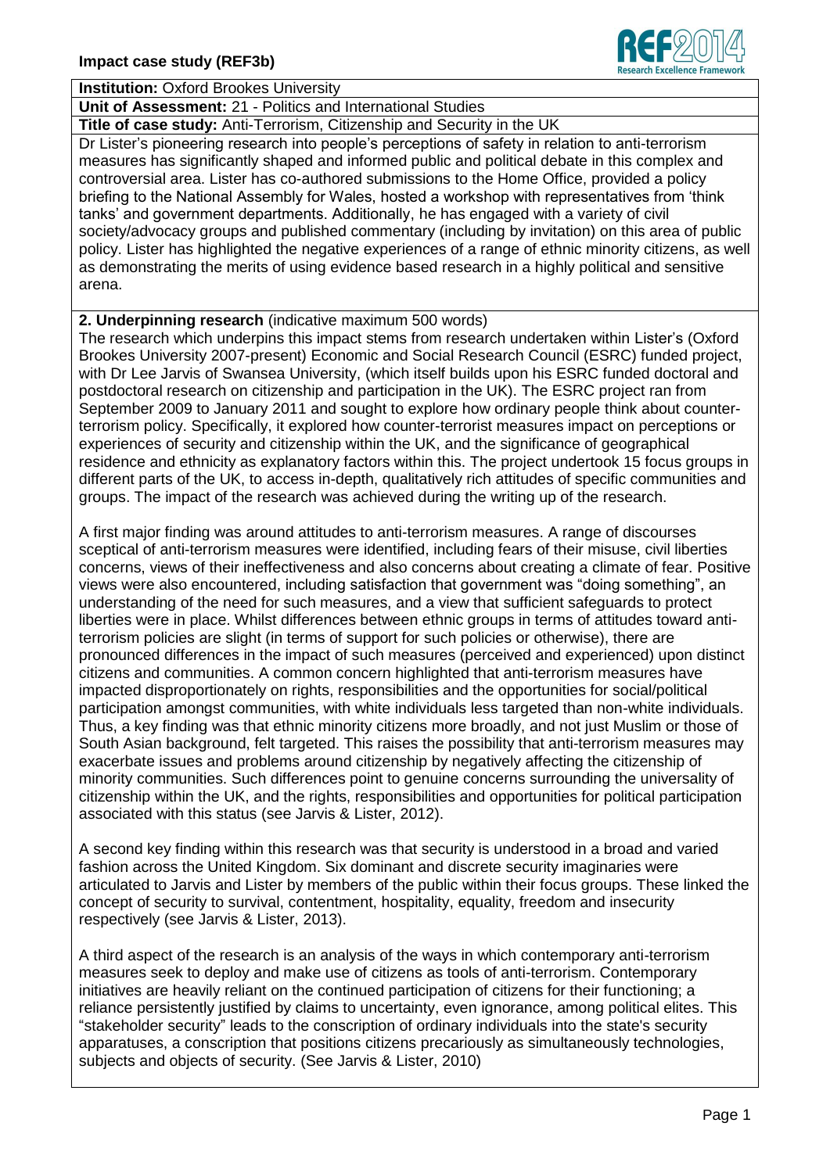

## **Institution:** Oxford Brookes University

**Unit of Assessment:** 21 - Politics and International Studies

**Title of case study:** Anti-Terrorism, Citizenship and Security in the UK Dr Lister"s pioneering research into people"s perceptions of safety in relation to anti-terrorism measures has significantly shaped and informed public and political debate in this complex and controversial area. Lister has co-authored submissions to the Home Office, provided a policy briefing to the National Assembly for Wales, hosted a workshop with representatives from "think tanks" and government departments. Additionally, he has engaged with a variety of civil society/advocacy groups and published commentary (including by invitation) on this area of public policy. Lister has highlighted the negative experiences of a range of ethnic minority citizens, as well as demonstrating the merits of using evidence based research in a highly political and sensitive arena.

## **2. Underpinning research** (indicative maximum 500 words)

The research which underpins this impact stems from research undertaken within Lister"s (Oxford Brookes University 2007-present) Economic and Social Research Council (ESRC) funded project, with Dr Lee Jarvis of Swansea University, (which itself builds upon his ESRC funded doctoral and postdoctoral research on citizenship and participation in the UK). The ESRC project ran from September 2009 to January 2011 and sought to explore how ordinary people think about counterterrorism policy. Specifically, it explored how counter-terrorist measures impact on perceptions or experiences of security and citizenship within the UK, and the significance of geographical residence and ethnicity as explanatory factors within this. The project undertook 15 focus groups in different parts of the UK, to access in-depth, qualitatively rich attitudes of specific communities and groups. The impact of the research was achieved during the writing up of the research.

A first major finding was around attitudes to anti-terrorism measures. A range of discourses sceptical of anti-terrorism measures were identified, including fears of their misuse, civil liberties concerns, views of their ineffectiveness and also concerns about creating a climate of fear. Positive views were also encountered, including satisfaction that government was "doing something", an understanding of the need for such measures, and a view that sufficient safeguards to protect liberties were in place. Whilst differences between ethnic groups in terms of attitudes toward antiterrorism policies are slight (in terms of support for such policies or otherwise), there are pronounced differences in the impact of such measures (perceived and experienced) upon distinct citizens and communities. A common concern highlighted that anti-terrorism measures have impacted disproportionately on rights, responsibilities and the opportunities for social/political participation amongst communities, with white individuals less targeted than non-white individuals. Thus, a key finding was that ethnic minority citizens more broadly, and not just Muslim or those of South Asian background, felt targeted. This raises the possibility that anti-terrorism measures may exacerbate issues and problems around citizenship by negatively affecting the citizenship of minority communities. Such differences point to genuine concerns surrounding the universality of citizenship within the UK, and the rights, responsibilities and opportunities for political participation associated with this status (see Jarvis & Lister, 2012).

A second key finding within this research was that security is understood in a broad and varied fashion across the United Kingdom. Six dominant and discrete security imaginaries were articulated to Jarvis and Lister by members of the public within their focus groups. These linked the concept of security to survival, contentment, hospitality, equality, freedom and insecurity respectively (see Jarvis & Lister, 2013).

A third aspect of the research is an analysis of the ways in which contemporary anti-terrorism measures seek to deploy and make use of citizens as tools of anti-terrorism. Contemporary initiatives are heavily reliant on the continued participation of citizens for their functioning; a reliance persistently justified by claims to uncertainty, even ignorance, among political elites. This "stakeholder security" leads to the conscription of ordinary individuals into the state's security apparatuses, a conscription that positions citizens precariously as simultaneously technologies, subjects and objects of security. (See Jarvis & Lister, 2010)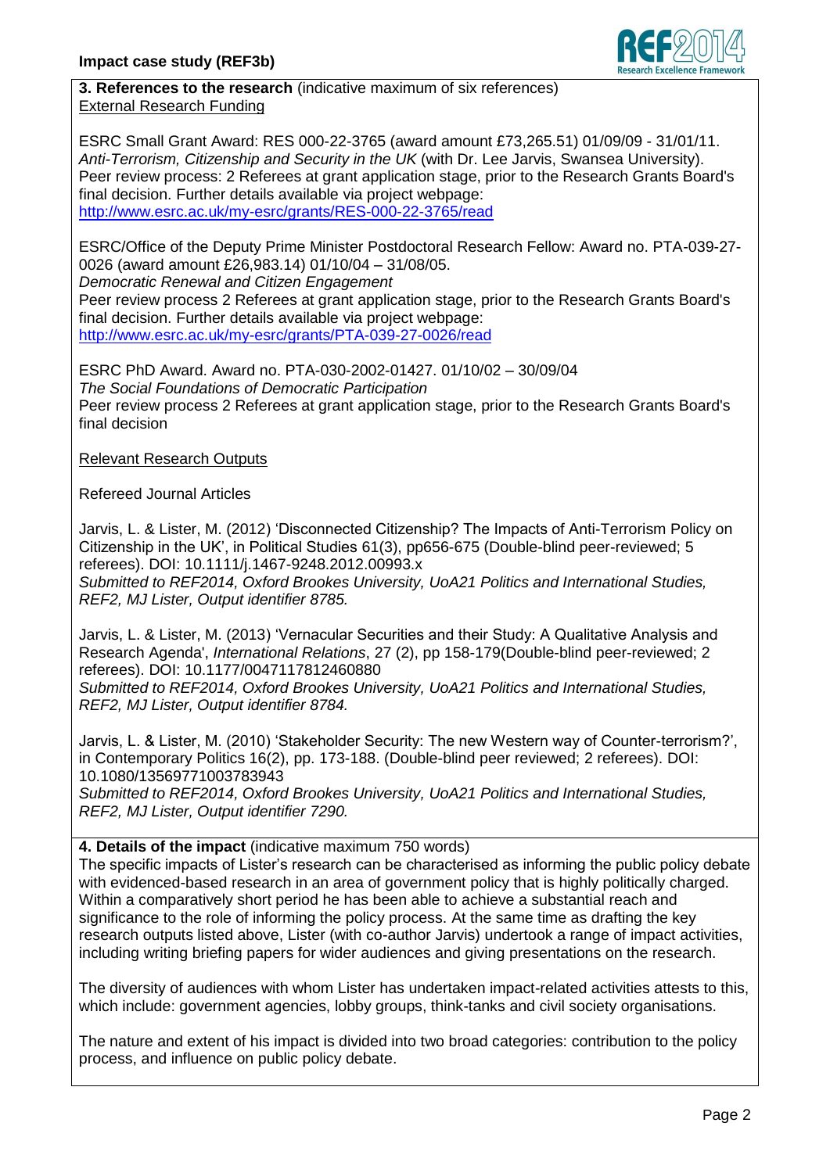

**3. References to the research** (indicative maximum of six references) External Research Funding

ESRC Small Grant Award: RES 000-22-3765 (award amount £73,265.51) 01/09/09 - 31/01/11. *Anti-Terrorism, Citizenship and Security in the UK* (with Dr. Lee Jarvis, Swansea University). Peer review process: 2 Referees at grant application stage, prior to the Research Grants Board's final decision. Further details available via project webpage: <http://www.esrc.ac.uk/my-esrc/grants/RES-000-22-3765/read>

ESRC/Office of the Deputy Prime Minister Postdoctoral Research Fellow: Award no. PTA-039-27- 0026 (award amount £26,983.14) 01/10/04 – 31/08/05. *Democratic Renewal and Citizen Engagement* Peer review process 2 Referees at grant application stage, prior to the Research Grants Board's final decision. Further details available via project webpage:

<http://www.esrc.ac.uk/my-esrc/grants/PTA-039-27-0026/read>

ESRC PhD Award. Award no. PTA-030-2002-01427. 01/10/02 – 30/09/04 *The Social Foundations of Democratic Participation* Peer review process 2 Referees at grant application stage, prior to the Research Grants Board's final decision

## Relevant Research Outputs

Refereed Journal Articles

Jarvis, L. & Lister, M. (2012) "Disconnected Citizenship? The Impacts of Anti-Terrorism Policy on Citizenship in the UK", in Political Studies 61(3), pp656-675 (Double-blind peer-reviewed; 5 referees). DOI: 10.1111/j.1467-9248.2012.00993.x *Submitted to REF2014, Oxford Brookes University, UoA21 Politics and International Studies, REF2, MJ Lister, Output identifier 8785.*

Jarvis, L. & Lister, M. (2013) "Vernacular Securities and their Study: A Qualitative Analysis and Research Agenda', *International Relations*, 27 (2), pp 158-179(Double-blind peer-reviewed; 2 referees). DOI: 10.1177/0047117812460880

*Submitted to REF2014, Oxford Brookes University, UoA21 Politics and International Studies, REF2, MJ Lister, Output identifier 8784.*

Jarvis, L. & Lister, M. (2010) "Stakeholder Security: The new Western way of Counter-terrorism?", in Contemporary Politics 16(2), pp. 173-188. (Double-blind peer reviewed; 2 referees). DOI: 10.1080/13569771003783943

*Submitted to REF2014, Oxford Brookes University, UoA21 Politics and International Studies, REF2, MJ Lister, Output identifier 7290.*

**4. Details of the impact** (indicative maximum 750 words)

The specific impacts of Lister's research can be characterised as informing the public policy debate with evidenced-based research in an area of government policy that is highly politically charged. Within a comparatively short period he has been able to achieve a substantial reach and significance to the role of informing the policy process. At the same time as drafting the key research outputs listed above, Lister (with co-author Jarvis) undertook a range of impact activities, including writing briefing papers for wider audiences and giving presentations on the research.

The diversity of audiences with whom Lister has undertaken impact-related activities attests to this, which include: government agencies, lobby groups, think-tanks and civil society organisations.

The nature and extent of his impact is divided into two broad categories: contribution to the policy process, and influence on public policy debate.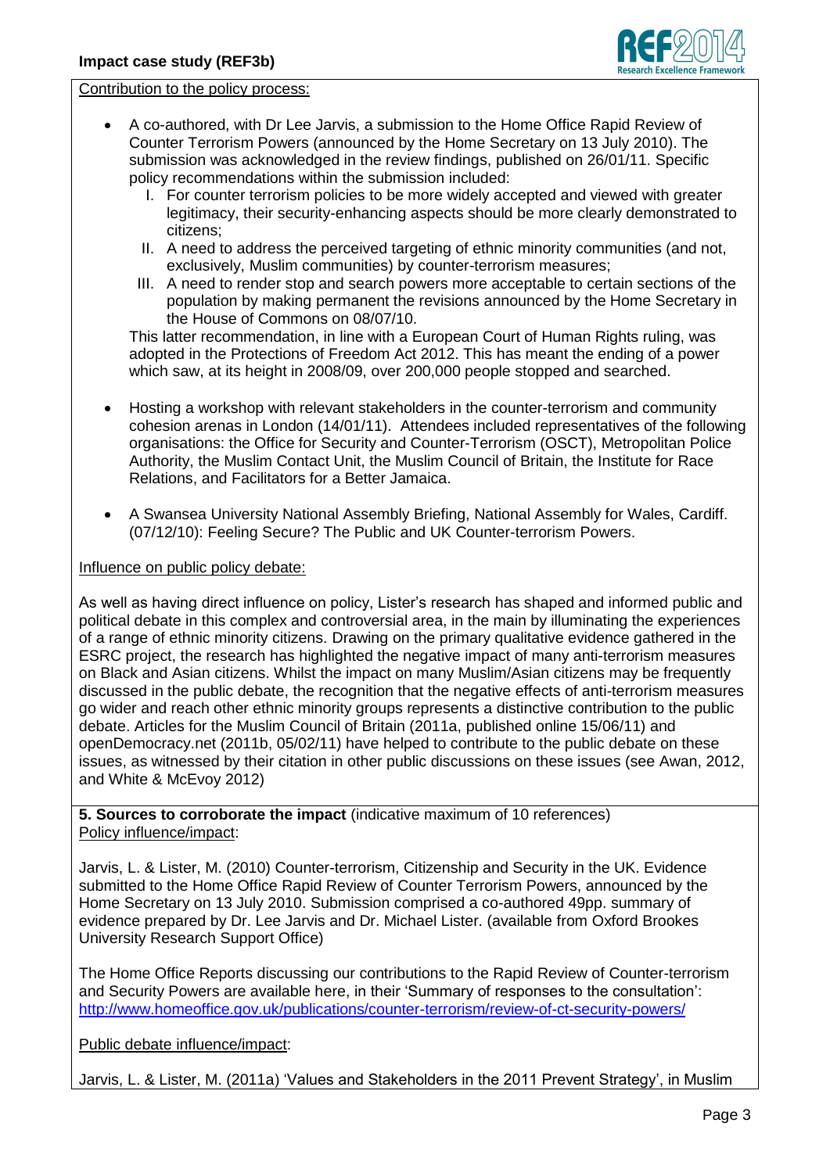

Contribution to the policy process:

- A co-authored, with Dr Lee Jarvis, a submission to the Home Office Rapid Review of Counter Terrorism Powers (announced by the Home Secretary on 13 July 2010). The submission was acknowledged in the review findings, published on 26/01/11. Specific policy recommendations within the submission included:
	- I. For counter terrorism policies to be more widely accepted and viewed with greater legitimacy, their security-enhancing aspects should be more clearly demonstrated to citizens;
	- II. A need to address the perceived targeting of ethnic minority communities (and not, exclusively, Muslim communities) by counter-terrorism measures;
	- III. A need to render stop and search powers more acceptable to certain sections of the population by making permanent the revisions announced by the Home Secretary in the House of Commons on 08/07/10.

This latter recommendation, in line with a European Court of Human Rights ruling, was adopted in the Protections of Freedom Act 2012. This has meant the ending of a power which saw, at its height in 2008/09, over 200,000 people stopped and searched.

- Hosting a workshop with relevant stakeholders in the counter-terrorism and community cohesion arenas in London (14/01/11). Attendees included representatives of the following organisations: the Office for Security and Counter-Terrorism (OSCT), Metropolitan Police Authority, the Muslim Contact Unit, the Muslim Council of Britain, the Institute for Race Relations, and Facilitators for a Better Jamaica.
- A Swansea University National Assembly Briefing, National Assembly for Wales, Cardiff. (07/12/10): Feeling Secure? The Public and UK Counter-terrorism Powers.

## Influence on public policy debate:

As well as having direct influence on policy, Lister"s research has shaped and informed public and political debate in this complex and controversial area, in the main by illuminating the experiences of a range of ethnic minority citizens. Drawing on the primary qualitative evidence gathered in the ESRC project, the research has highlighted the negative impact of many anti-terrorism measures on Black and Asian citizens. Whilst the impact on many Muslim/Asian citizens may be frequently discussed in the public debate, the recognition that the negative effects of anti-terrorism measures go wider and reach other ethnic minority groups represents a distinctive contribution to the public debate. Articles for the Muslim Council of Britain (2011a, published online 15/06/11) and openDemocracy.net (2011b, 05/02/11) have helped to contribute to the public debate on these issues, as witnessed by their citation in other public discussions on these issues (see Awan, 2012, and White & McEvoy 2012)

**5. Sources to corroborate the impact** (indicative maximum of 10 references) Policy influence/impact:

Jarvis, L. & Lister, M. (2010) Counter-terrorism, Citizenship and Security in the UK. Evidence submitted to the Home Office Rapid Review of Counter Terrorism Powers, announced by the Home Secretary on 13 July 2010. Submission comprised a co-authored 49pp. summary of evidence prepared by Dr. Lee Jarvis and Dr. Michael Lister. (available from Oxford Brookes University Research Support Office)

The Home Office Reports discussing our contributions to the Rapid Review of Counter-terrorism and Security Powers are available here, in their "Summary of responses to the consultation": <http://www.homeoffice.gov.uk/publications/counter-terrorism/review-of-ct-security-powers/>

Public debate influence/impact:

Jarvis, L. & Lister, M. (2011a) "Values and Stakeholders in the 2011 Prevent Strategy", in Muslim